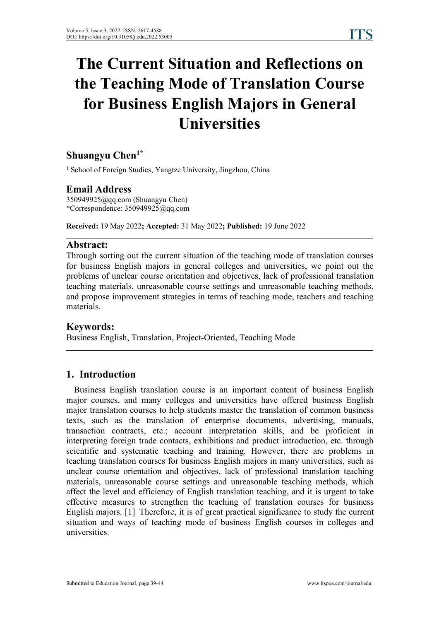# **The Current Situation and Reflections on the Teaching Mode of Translation Course for Business English Majors in General Universities**

# **Shuangyu Chen 1\***

<sup>1</sup> School of Foreign Studies, Yangtze University, Jingzhou, China

### **Email Address**

350949925@qq.com (Shuangyu Chen) \*Correspondence: 350949925@qq.com

**Received:** 19 May 2022**; Accepted:** 31 May 2022**; Published:** 19 June 2022

### **Abstract:**

Through sorting out the current situation of the teaching mode of translation courses for business English majors in general colleges and universities, we point out the problems of unclear course orientation and objectives, lack of professional translation teaching materials, unreasonable course settings and unreasonable teaching methods, and propose improvement strategies in terms of teaching mode, teachers and teaching materials.

### **Keywords:**

Business English, Translation, Project-Oriented, Teaching Mode

### **1. Introduction**

Business English translation course is an important content of business English major courses, and many colleges and universities have offered business English major translation courses to help students master the translation of common business texts, such as the translation of enterprise documents, advertising, manuals, transaction contracts, etc.; account interpretation skills, and be proficient in interpreting foreign trade contacts, exhibitions and product introduction, etc. through scientific and systematic teaching and training. However, there are problems in teaching translation courses for business English majors in many universities, such as unclear course orientation and objectives, lack of professional translation teaching materials, unreasonable course settings and unreasonable teaching methods, which affect the level and efficiency of English translation teaching, and it is urgent to take effective measures to strengthen the teaching of translation courses for business English majors. [1] Therefore, it is of great practical significance to study the current situation and ways of teaching mode of business English courses in colleges and universities.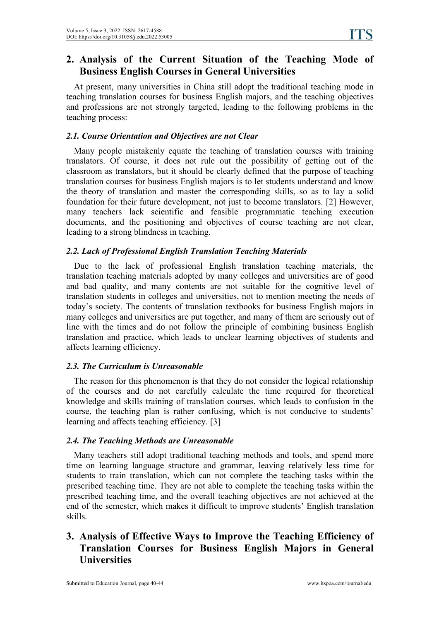# **2. Analysis of the Current Situation of the Teaching Mode of Business English Courses in General Universities**

At present, many universities in China still adopt the traditional teaching mode in teaching translation courses for business English majors, and the teaching objectives and professions are not strongly targeted, leading to the following problems in the teaching process:

# *2.1. Course Orientation and Objectives are not Clear*

Many people mistakenly equate the teaching of translation courses with training translators. Of course, it does not rule out the possibility of getting out of the classroom as translators, but it should be clearly defined that the purpose of teaching translation courses for business English majors is to let students understand and know the theory of translation and master the corresponding skills, so as to lay a solid foundation for their future development, not just to become translators. [2] However, many teachers lack scientific and feasible programmatic teaching execution documents, and the positioning and objectives of course teaching are not clear, leading to a strong blindness in teaching.

# *2.2. Lack of Professional English Translation Teaching Materials*

Due to the lack of professional English translation teaching materials, the translation teaching materials adopted by many colleges and universities are of good and bad quality, and many contents are not suitable for the cognitive level of translation students in colleges and universities, not to mention meeting the needs of today's society. The contents of translation textbooks for business English majors in many colleges and universities are put together, and many of them are seriously out of line with the times and do not follow the principle of combining business English translation and practice, which leads to unclear learning objectives of students and affects learning efficiency.

# *2.3. The Curriculum is Unreasonable*

The reason for this phenomenon is that they do not consider the logical relationship of the courses and do not carefully calculate the time required for theoretical knowledge and skills training of translation courses, which leads to confusion in the course, the teaching plan is rather confusing, which is not conducive to students' learning and affects teaching efficiency. [3]

# *2.4. The Teaching Methods are Unreasonable*

Many teachers still adopt traditional teaching methods and tools, and spend more time on learning language structure and grammar, leaving relatively less time for students to train translation, which can not complete the teaching tasks within the prescribed teaching time. They are not able to complete the teaching tasks within the prescribed teaching time, and the overall teaching objectives are not achieved at the end of the semester, which makes it difficult to improve students' English translation skills.

# **3. Analysis of Effective Ways to Improve the Teaching Efficiency of Translation Courses for Business English Majors in General Universities**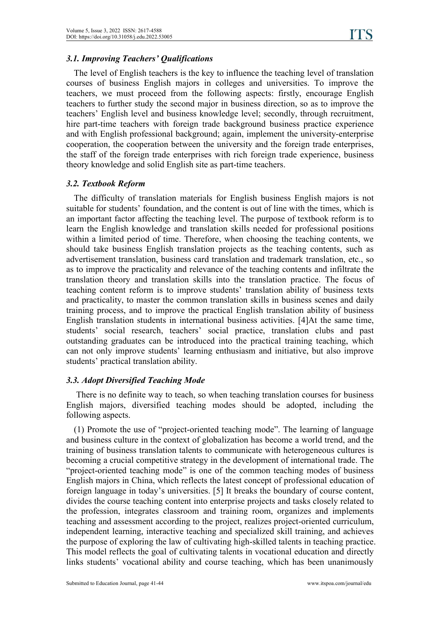### *3.1. Improving Teachers' Qualifications*

The level of English teachers is the key to influence the teaching level of translation courses of business English majors in colleges and universities. To improve the teachers, we must proceed from the following aspects: firstly, encourage English teachers to further study the second major in business direction, so as to improve the teachers' English level and business knowledge level; secondly, through recruitment, hire part-time teachers with foreign trade background business practice experience and with English professional background; again, implement the university-enterprise cooperation, the cooperation between the university and the foreign trade enterprises, the staff of the foreign trade enterprises with rich foreign trade experience, business theory knowledge and solid English site as part-time teachers.

#### *3.2. Textbook Reform*

The difficulty of translation materials for English business English majors is not suitable for students' foundation, and the content is out of line with the times, which is an important factor affecting the teaching level. The purpose of textbook reform is to learn the English knowledge and translation skills needed for professional positions within a limited period of time. Therefore, when choosing the teaching contents, we should take business English translation projects as the teaching contents, such as advertisement translation, business card translation and trademark translation, etc., so as to improve the practicality and relevance of the teaching contents and infiltrate the translation theory and translation skills into the translation practice. The focus of teaching content reform is to improve students' translation ability of business texts and practicality, to master the common translation skills in business scenes and daily training process, and to improve the practical English translation ability of business English translation students in international business activities. [4]At the same time, students' social research, teachers' social practice, translation clubs and past outstanding graduates can be introduced into the practical training teaching, which can not only improve students' learning enthusiasm and initiative, but also improve students' practical translation ability.

#### *3.3. Adopt Diversified Teaching Mode*

There is no definite way to teach, so when teaching translation courses for business English majors, diversified teaching modes should be adopted, including the following aspects.

(1) Promote the use of "project-oriented teaching mode". The learning of language and business culture in the context of globalization has become a world trend, and the training of business translation talents to communicate with heterogeneous cultures is becoming a crucial competitive strategy in the development of international trade. The "project-oriented teaching mode" is one of the common teaching modes of business English majors in China, which reflects the latest concept of professional education of foreign language in today's universities. [5] It breaks the boundary of course content, divides the course teaching content into enterprise projects and tasks closely related to the profession, integrates classroom and training room, organizes and implements teaching and assessment according to the project, realizes project-oriented curriculum, independent learning, interactive teaching and specialized skill training, and achieves the purpose of exploring the law of cultivating high-skilled talents in teaching practice. This model reflects the goal of cultivating talents in vocational education and directly links students' vocational ability and course teaching, which has been unanimously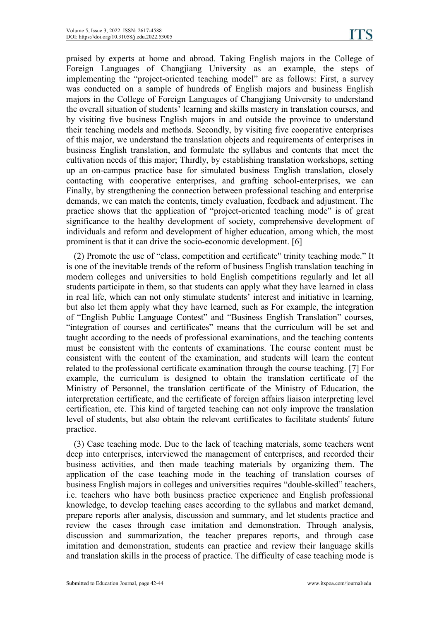praised by experts at home and abroad. Taking English majors in the College of Foreign Languages of Changjiang University as an example, the steps of implementing the "project-oriented teaching model" are as follows: First, a survey was conducted on a sample of hundreds of English majors and business English majors in the College of Foreign Languages of Changjiang University to understand the overall situation of students' learning and skills mastery in translation courses, and by visiting five business English majors in and outside the province to understand their teaching models and methods. Secondly, by visiting five cooperative enterprises of this major, we understand the translation objects and requirements of enterprises in business English translation, and formulate the syllabus and contents that meet the cultivation needs of this major; Thirdly, by establishing translation workshops, setting up an on-campus practice base for simulated business English translation, closely contacting with cooperative enterprises, and grafting school-enterprises, we can Finally, by strengthening the connection between professional teaching and enterprise demands, we can match the contents, timely evaluation, feedback and adjustment. The practice shows that the application of "project-oriented teaching mode" is of great significance to the healthy development of society, comprehensive development of individuals and reform and development of higher education, among which, the most prominent is that it can drive the socio-economic development. [6]

(2) Promote the use of "class, competition and certificate" trinity teaching mode." It is one of the inevitable trends of the reform of business English translation teaching in modern colleges and universities to hold English competitions regularly and let all students participate in them, so that students can apply what they have learned in class in real life, which can not only stimulate students' interest and initiative in learning, but also let them apply what they have learned, such as For example, the integration of "English Public Language Contest" and "Business English Translation" courses,"integration of courses and certificates" means that the curriculum will be set and taught according to the needs of professional examinations, and the teaching contents must be consistent with the contents of examinations. The course content must be consistent with the content of the examination, and students will learn the content related to the professional certificate examination through the course teaching. [7] For example, the curriculum is designed to obtain the translation certificate of the Ministry of Personnel, the translation certificate of the Ministry of Education, the interpretation certificate, and the certificate of foreign affairs liaison interpreting level certification, etc. This kind of targeted teaching can not only improve the translation level of students, but also obtain the relevant certificates to facilitate students' future practice.

(3) Case teaching mode. Due to the lack of teaching materials, some teachers went deep into enterprises, interviewed the management of enterprises, and recorded their business activities, and then made teaching materials by organizing them. The application of the case teaching mode in the teaching of translation courses of business English majors in colleges and universities requires "double-skilled" teachers, i.e. teachers who have both business practice experience and English professional knowledge, to develop teaching cases according to the syllabus and market demand, prepare reports after analysis, discussion and summary, and let students practice and review the cases through case imitation and demonstration. Through analysis, discussion and summarization, the teacher prepares reports, and through case imitation and demonstration, students can practice and review their language skills and translation skills in the process of practice. The difficulty of case teaching mode is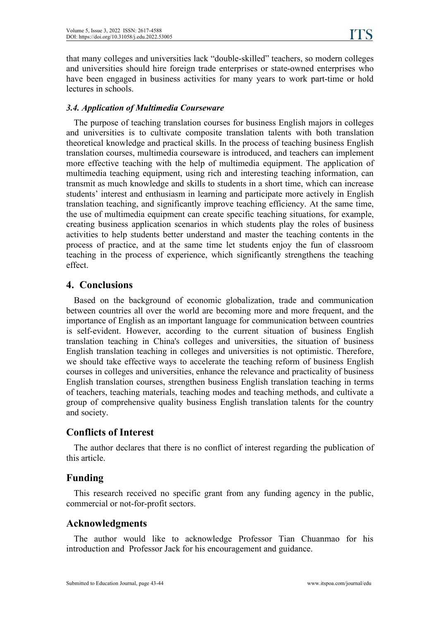that many colleges and universities lack "double-skilled" teachers, so modern colleges and universities should hire foreign trade enterprises or state-owned enterprises who have been engaged in business activities for many years to work part-time or hold lectures in schools.

### *3.4. Application of Multimedia Courseware*

The purpose of teaching translation courses for business English majors in colleges and universities is to cultivate composite translation talents with both translation theoretical knowledge and practical skills. In the process of teaching business English translation courses, multimedia courseware is introduced, and teachers can implement more effective teaching with the help of multimedia equipment. The application of multimedia teaching equipment, using rich and interesting teaching information, can transmit as much knowledge and skills to students in a short time, which can increase students' interest and enthusiasm in learning and participate more actively in English translation teaching, and significantly improve teaching efficiency. At the same time, the use of multimedia equipment can create specific teaching situations, for example, creating business application scenarios in which students play the roles of business activities to help students better understand and master the teaching contents in the process of practice, and at the same time let students enjoy the fun of classroom teaching in the process of experience, which significantly strengthens the teaching effect.

### **4. Conclusions**

Based on the background of economic globalization, trade and communication between countries all over the world are becoming more and more frequent, and the importance of English as an important language for communication between countries is self-evident. However, according to the current situation of business English translation teaching in China's colleges and universities, the situation of business English translation teaching in colleges and universities is not optimistic. Therefore, we should take effective ways to accelerate the teaching reform of business English courses in colleges and universities, enhance the relevance and practicality of business English translation courses, strengthen business English translation teaching in terms of teachers, teaching materials, teaching modes and teaching methods, and cultivate a group of comprehensive quality business English translation talents for the country and society.

# **Conflicts of Interest**

The author declares that there is no conflict of interest regarding the publication of this article.

### **Funding**

This research received no specific grant from any funding agency in the public, commercial or not-for-profit sectors.

# **Acknowledgments**

The author would like to acknowledge Professor Tian Chuanmao for his introduction and Professor Jack for his encouragement and guidance.